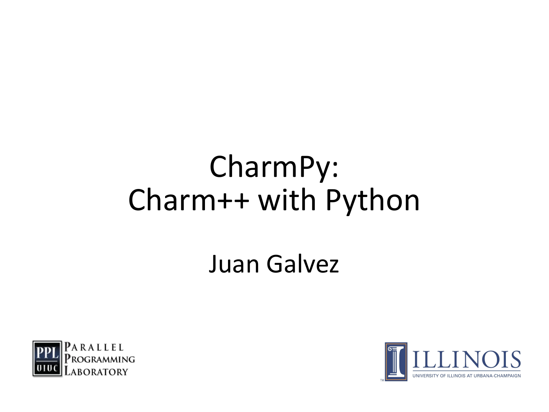# CharmPy: Charm++ with Python

#### Juan Galvez



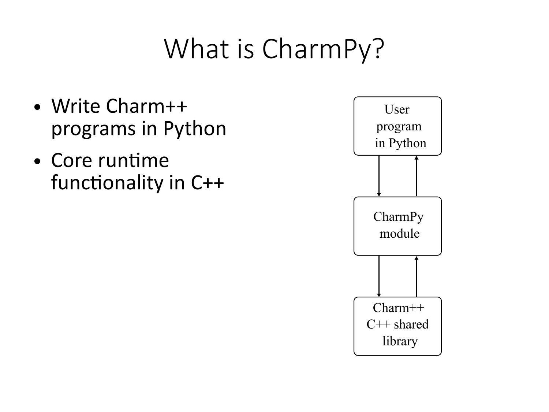# What is CharmPy?

- Write Charm++ programs in Python
- Core runtime functionality in C++

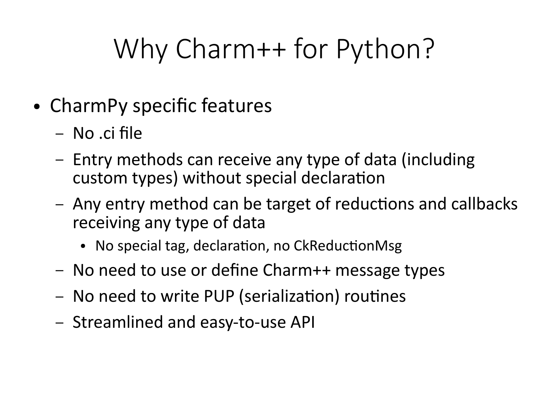# Why Charm++ for Python?

- CharmPy specific features
	- No .ci fle
	- Entry methods can receive any type of data (including custom types) without special declaraton
	- Any entry method can be target of reductions and callbacks receiving any type of data
		- No special tag, declaration, no CkReductionMsg
	- No need to use or defne Charm++ message types
	- No need to write PUP (serializaton) routnes
	- Streamlined and easy-to-use API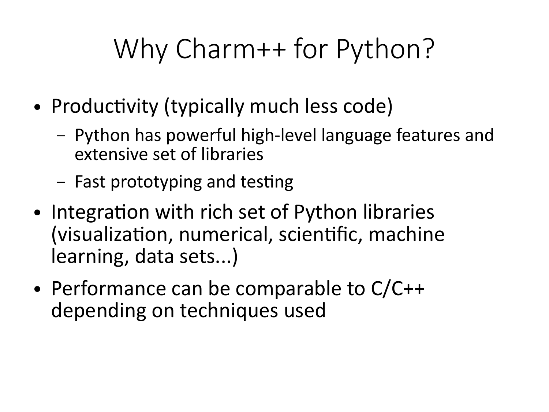# Why Charm++ for Python?

- Productivity (typically much less code)
	- Python has powerful high-level language features and extensive set of libraries
	- Fast prototyping and testng
- Integration with rich set of Python libraries (visualization, numerical, scientific, machine learning, data sets...)
- Performance can be comparable to  $C/C++$ depending on techniques used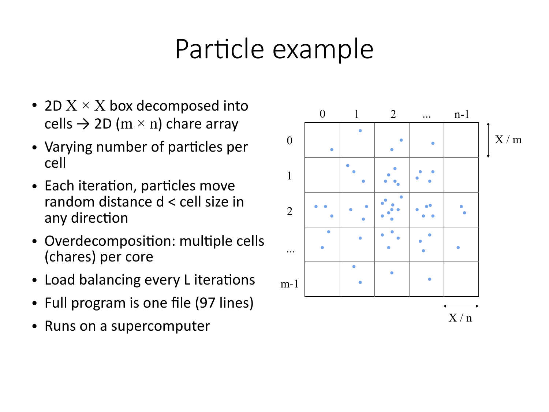- 2D  $X \times X$  box decomposed into cells  $\rightarrow$  2D (m  $\times$  n) chare array
- Varying number of particles per cell
- Each iteration, particles move random distance d < cell size in any direction
- Overdecomposition: multiple cells (chares) per core
- Load balancing every L iterations
- Full program is one file (97 lines)
- Runs on a supercomputer

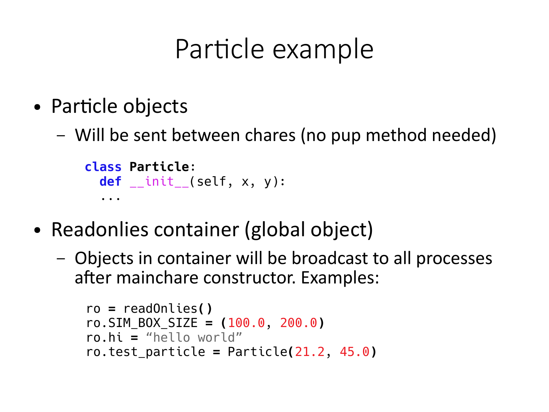- Particle objects
	- Will be sent between chares (no pup method needed)

```
class Particle:
   def __init__(self, x, y):
   ...
```
- Readonlies container (global object)
	- Objeects in container will be broadcast to all processes after mainchare constructor. Examples:

```
ro = readOnlies()
ro.SIM_BOX_SIZE = (100.0, 200.0)
ro.hi = "hello world"
ro.test_particle = Particle(21.2, 45.0)
```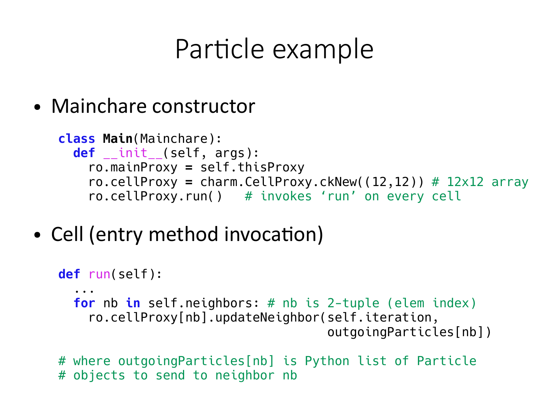• Mainchare constructor

```
class Main(Mainchare):
   def __init__(self, args):
     ro.mainProxy = self.thisProxy
     ro.cellProxy = charm.CellProxy.ckNew((12,12)) # 12x12 array
     ro.cellProxy.run() # invokes 'run' on every cell
```
• Cell (entry method invocation)

```
def run(self):
 ...
  for nb in self.neighbors: # nb is 2-tuple (elem index)
     ro.cellProxy[nb].updateNeighbor(self.iteration,
                                      outgoingParticles[nb])
```
# where outgoingParticles[nb] is Python list of Particle # objects to send to neighbor nb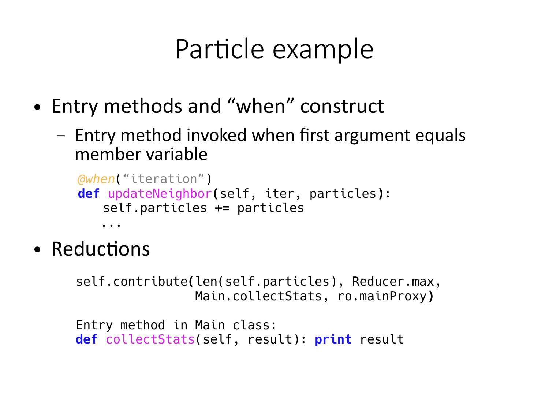- Entry methods and "when" construct
	- Entry method invoked when frst argument equals member variable

```
@when("iteration")
def updateNeighbor(self, iter, particles):
   self.particles += particles
 ...
```
• Reductions

self.contribute**(**len(self.particles), Reducer.max, Main.collectStats, ro.mainProxy**)**

```
Entry method in Main class:
def collectStats(self, result): print result
```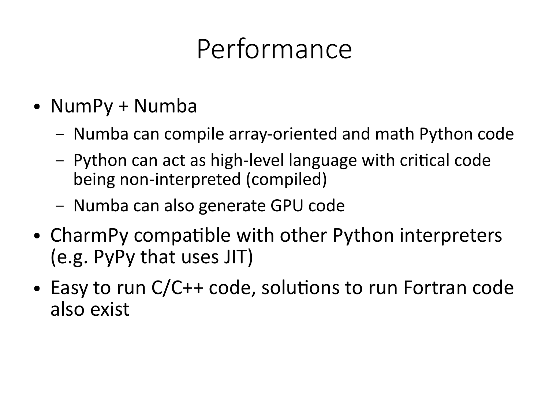# Performance

- NumPy + Numba
	- Numba can compile array-oriented and math Python code
	- Python can act as high-level language with critcal code being non-interpreted (compiled)
	- Numba can also generate GPU code
- CharmPy compatible with other Python interpreters (e.g. PyPy that uses JIT)
- Easy to run C/C++ code, solutions to run Fortran code also exist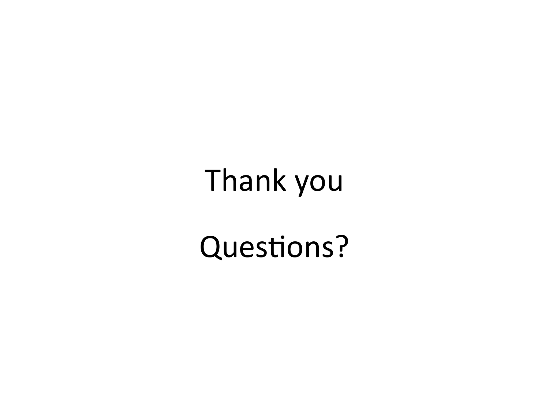# Thank you Questions?